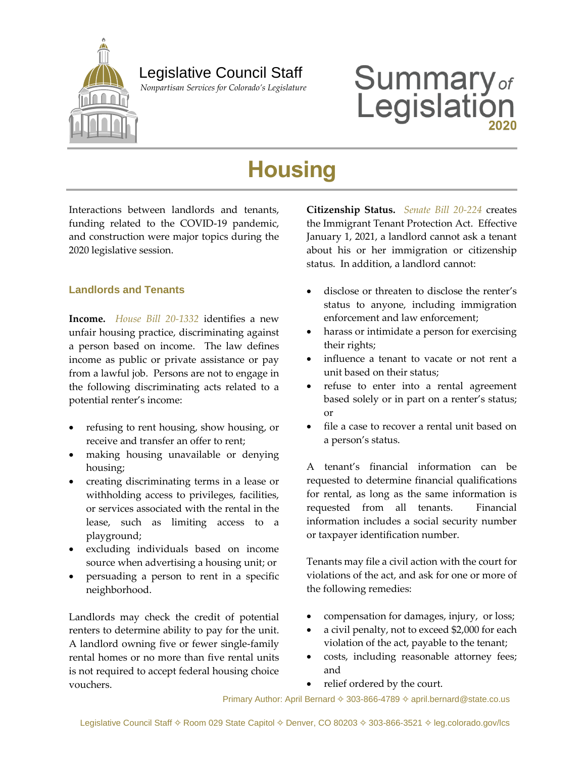

## Legislative Council Staff

 *Nonpartisan Services for Colorado's Legislature*

# **Summary**<sub>of</sub><br>Legislation

## **Housing**

Interactions between landlords and tenants, funding related to the COVID-19 pandemic, and construction were major topics during the 2020 legislative session.

## **Landlords and Tenants**

**Income.** *[House Bill 20-1332](http://leg.colorado.gov/bills/hb20-1332)* identifies a new unfair housing practice, discriminating against a person based on income. The law defines income as public or private assistance or pay from a lawful job. Persons are not to engage in the following discriminating acts related to a potential renter's income:

- refusing to rent housing, show housing, or receive and transfer an offer to rent;
- making housing unavailable or denying housing;
- creating discriminating terms in a lease or withholding access to privileges, facilities, or services associated with the rental in the lease, such as limiting access to a playground;
- excluding individuals based on income source when advertising a housing unit; or
- persuading a person to rent in a specific neighborhood.

Landlords may check the credit of potential renters to determine ability to pay for the unit. A landlord owning five or fewer single-family rental homes or no more than five rental units is not required to accept federal housing choice vouchers.

**Citizenship Status.** *[Senate Bill 20-224](http://leg.colorado.gov/bills/sb20-224)* creates the Immigrant Tenant Protection Act. Effective January 1, 2021, a landlord cannot ask a tenant about his or her immigration or citizenship status. In addition, a landlord cannot:

- disclose or threaten to disclose the renter's status to anyone, including immigration enforcement and law enforcement;
- harass or intimidate a person for exercising their rights;
- influence a tenant to vacate or not rent a unit based on their status;
- refuse to enter into a rental agreement based solely or in part on a renter's status; or
- file a case to recover a rental unit based on a person's status.

A tenant's financial information can be requested to determine financial qualifications for rental, as long as the same information is requested from all tenants. Financial information includes a social security number or taxpayer identification number.

Tenants may file a civil action with the court for violations of the act, and ask for one or more of the following remedies:

- compensation for damages, injury, or loss;
- a civil penalty, not to exceed \$2,000 for each violation of the act, payable to the tenant;
- costs, including reasonable attorney fees; and
- relief ordered by the court.

Primary Author: April Bernard  $\diamond$  303-866-4789  $\diamond$  april.bernard@state.co.us